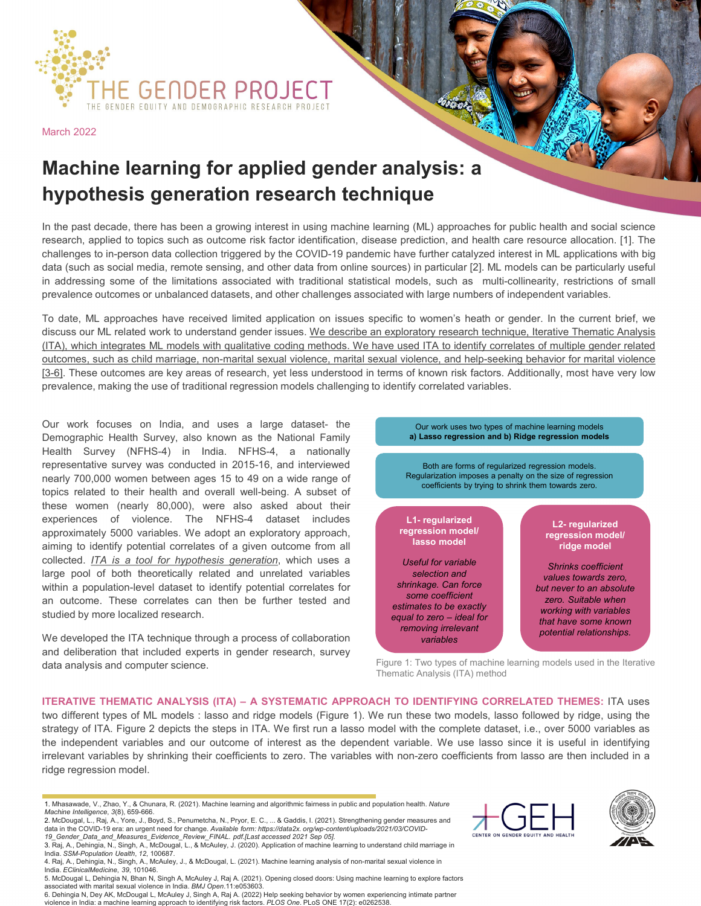

March 2022

## **Machine learning for applied gender analysis: a hypothesis generation research technique**

In the past decade, there has been a growing interest in using machine learning (ML) approaches for public health and social science research, applied to topics such as outcome risk factor identification, disease prediction, and health care resource allocation. [1]. The challenges to in-person data collection triggered by the COVID-19 pandemic have further catalyzed interest in ML applications with big data (such as social media, remote sensing, and other data from online sources) in particular [2]. ML models can be particularly useful in addressing some of the limitations associated with traditional statistical models, such as multi-collinearity, restrictions of small prevalence outcomes or unbalanced datasets, and other challenges associated with large numbers of independent variables.

To date, ML approaches have received limited application on issues specific to women's heath or gender. In the current brief, we discuss our ML related work to understand gender issues. We describe an exploratory research technique, Iterative Thematic Analysis (ITA), which integrates ML models with qualitative coding methods. We have used ITA to identify correlates of multiple gender related outcomes, such as child marriage, non-marital sexual violence, marital sexual violence, and help-seeking behavior for marital violence [3-6]. These outcomes are key areas of research, yet less understood in terms of known risk factors. Additionally, most have very low prevalence, making the use of traditional regression models challenging to identify correlated variables.

Our work focuses on India, and uses a large dataset- the Demographic Health Survey, also known as the National Family Health Survey (NFHS-4) in India. NFHS-4, a nationally representative survey was conducted in 2015-16, and interviewed nearly 700,000 women between ages 15 to 49 on a wide range of topics related to their health and overall well-being. A subset of these women (nearly 80,000), were also asked about their experiences of violence. The NFHS-4 dataset includes approximately 5000 variables. We adopt an exploratory approach, aiming to identify potential correlates of a given outcome from all collected. *ITA is a tool for hypothesis generation*, which uses a large pool of both theoretically related and unrelated variables within a population-level dataset to identify potential correlates for an outcome. These correlates can then be further tested and studied by more localized research.

We developed the ITA technique through a process of collaboration and deliberation that included experts in gender research, survey data analysis and computer science.



Figure 1: Two types of machine learning models used in the Iterative Thematic Analysis (ITA) method

**ITERATIVE THEMATIC ANALYSIS (ITA) – A SYSTEMATIC APPROACH TO IDENTIFYING CORRELATED THEMES:** ITA uses two different types of ML models : lasso and ridge models (Figure 1). We run these two models, lasso followed by ridge, using the strategy of ITA. Figure 2 depicts the steps in ITA. We first run a lasso model with the complete dataset, i.e., over 5000 variables as the independent variables and our outcome of interest as the dependent variable. We use lasso since it is useful in identifying irrelevant variables by shrinking their coefficients to zero. The variables with non-zero coefficients from lasso are then included in a ridge regression model.





<sup>1.</sup> Mhasawade, V., Zhao, Y., & Chunara, R. (2021). Machine learning and algorithmic fairness in public and population health. *Nature Machine Intelligence*, *3*(8), 659-666.

<sup>2.</sup> McDougal, L., Raj, A., Yore, J., Boyd, S., Penumetcha, N., Pryor, E. C., ... & Gaddis, I. (2021). Strengthening gender measures and data in the COVID-19 era: an urgent need for change. *Available form: https://data2x. org/wp-content/uploads/2021/03/COVID-19\_Gender\_Data\_and\_Measures\_Evidence\_Review\_FINAL. pdf.[Last accessed 2021 Sep 05]*.

<sup>3.</sup> Raj, A., Dehingia, N., Singh, A., McDougal, L., & McAuley, J. (2020). Application of machine learning to understand child marriage in

India. SS*M-Population Uealth*, 12, 100687.<br>4. Raj, A., Dehingia, N., Singh, A., McAuley, J., & McDougal, L. (2021). Machine learning analysis of non-marital sexual violence in India. *EClinicalMedicine*, *39*, 101046.

<sup>5.</sup> McDougal L, Dehingia N, Bhan N, Singh A, McAuley J, Raj A. (2021). Opening closed doors: Using machine learning to explore factors associated with marital sexual violence in India. *BMJ Open*.11:e053603.

<sup>6.</sup> Dehingia N, Dey AK, McDougal L, McAuley J, Singh A, Raj A. (2022) Help seeking behavior by women experiencing intimate partner violence in India: a machine learning approach to identifying risk factors. *PLOS One*. PLoS ONE 17(2): e0262538.